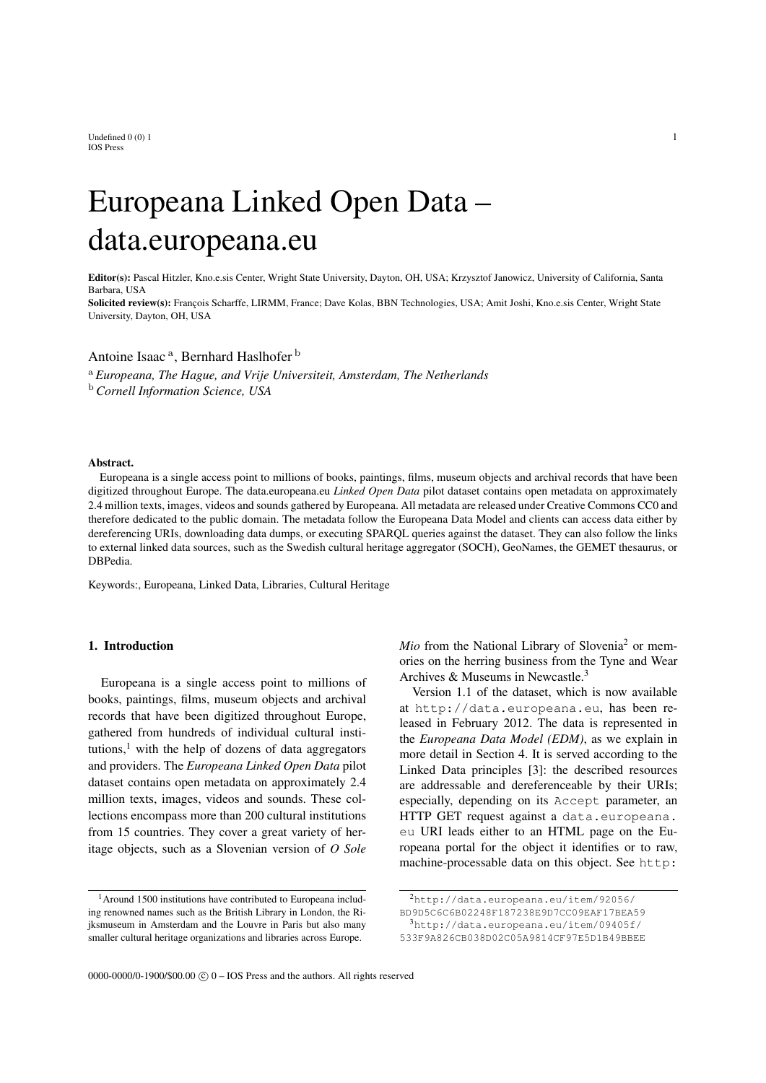Undefined  $0\ (0)$  1 1 IOS Press

# Europeana Linked Open Data – data.europeana.eu

Editor(s): Pascal Hitzler, Kno.e.sis Center, Wright State University, Dayton, OH, USA; Krzysztof Janowicz, University of California, Santa Barbara, USA

Solicited review(s): François Scharffe, LIRMM, France; Dave Kolas, BBN Technologies, USA; Amit Joshi, Kno.e.sis Center, Wright State University, Dayton, OH, USA

## Antoine Isaac<sup>a</sup>, Bernhard Haslhofer<sup>b</sup>

<sup>a</sup> *Europeana, The Hague, and Vrije Universiteit, Amsterdam, The Netherlands* <sup>b</sup> *Cornell Information Science, USA*

#### Abstract.

Europeana is a single access point to millions of books, paintings, films, museum objects and archival records that have been digitized throughout Europe. The data.europeana.eu *Linked Open Data* pilot dataset contains open metadata on approximately 2.4 million texts, images, videos and sounds gathered by Europeana. All metadata are released under Creative Commons CC0 and therefore dedicated to the public domain. The metadata follow the Europeana Data Model and clients can access data either by dereferencing URIs, downloading data dumps, or executing SPARQL queries against the dataset. They can also follow the links to external linked data sources, such as the Swedish cultural heritage aggregator (SOCH), GeoNames, the GEMET thesaurus, or DBPedia.

Keywords:, Europeana, Linked Data, Libraries, Cultural Heritage

### 1. Introduction

Europeana is a single access point to millions of books, paintings, films, museum objects and archival records that have been digitized throughout Europe, gathered from hundreds of individual cultural institutions, $\frac{1}{1}$  with the help of dozens of data aggregators and providers. The *Europeana Linked Open Data* pilot dataset contains open metadata on approximately 2.4 million texts, images, videos and sounds. These collections encompass more than 200 cultural institutions from 15 countries. They cover a great variety of heritage objects, such as a Slovenian version of *O Sole*

<sup>1</sup> Around 1500 institutions have contributed to Europeana including renowned names such as the British Library in London, the Rijksmuseum in Amsterdam and the Louvre in Paris but also many smaller cultural heritage organizations and libraries across Europe.

*Mio* from the National Library of Slovenia<sup>2</sup> or memories on the herring business from the Tyne and Wear Archives & Museums in Newcastle.<sup>3</sup>

Version 1.1 of the dataset, which is now available at http://data.europeana.eu, has been released in February 2012. The data is represented in the *Europeana Data Model (EDM)*, as we explain in more detail in Section 4. It is served according to the Linked Data principles [3]: the described resources are addressable and dereferenceable by their URIs; especially, depending on its Accept parameter, an HTTP GET request against a data.europeana. eu URI leads either to an HTML page on the Europeana portal for the object it identifies or to raw, machine-processable data on this object. See http:

<sup>2</sup>http://data.europeana.eu/item/92056/

BD9D5C6C6B02248F187238E9D7CC09EAF17BEA59 <sup>3</sup>http://data.europeana.eu/item/09405f/

<sup>533</sup>F9A826CB038D02C05A9814CF97E5D1B49BBEE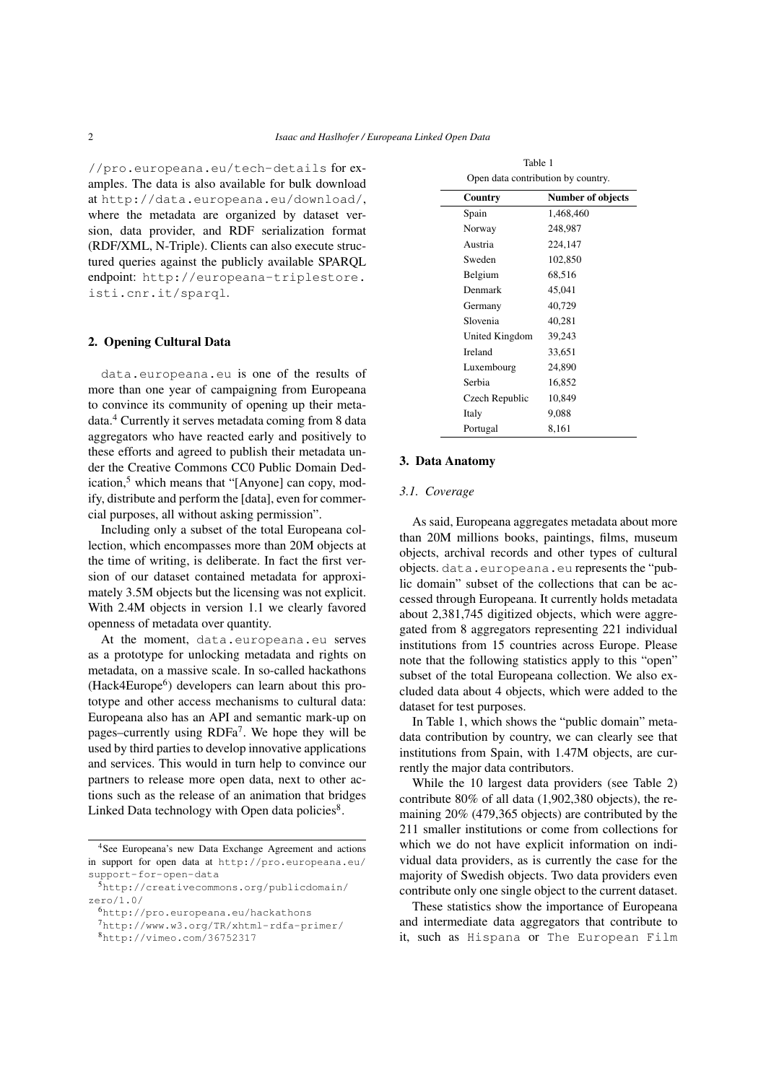//pro.europeana.eu/tech-details for examples. The data is also available for bulk download at http://data.europeana.eu/download/, where the metadata are organized by dataset version, data provider, and RDF serialization format (RDF/XML, N-Triple). Clients can also execute structured queries against the publicly available SPARQL endpoint: http://europeana-triplestore. isti.cnr.it/sparql.

#### 2. Opening Cultural Data

data.europeana.eu is one of the results of more than one year of campaigning from Europeana to convince its community of opening up their metadata.<sup>4</sup> Currently it serves metadata coming from 8 data aggregators who have reacted early and positively to these efforts and agreed to publish their metadata under the Creative Commons CC0 Public Domain Dedication, $5$  which means that "[Anyone] can copy, modify, distribute and perform the [data], even for commercial purposes, all without asking permission".

Including only a subset of the total Europeana collection, which encompasses more than 20M objects at the time of writing, is deliberate. In fact the first version of our dataset contained metadata for approximately 3.5M objects but the licensing was not explicit. With 2.4M objects in version 1.1 we clearly favored openness of metadata over quantity.

At the moment, data.europeana.eu serves as a prototype for unlocking metadata and rights on metadata, on a massive scale. In so-called hackathons (Hack4Europe<sup>6</sup>) developers can learn about this prototype and other access mechanisms to cultural data: Europeana also has an API and semantic mark-up on pages–currently using RDFa<sup>7</sup> . We hope they will be used by third parties to develop innovative applications and services. This would in turn help to convince our partners to release more open data, next to other actions such as the release of an animation that bridges Linked Data technology with Open data policies<sup>8</sup>.

| Open data contribution by country. |                   |  |
|------------------------------------|-------------------|--|
| Country                            | Number of objects |  |
| Spain                              | 1,468,460         |  |
| Norway                             | 248,987           |  |
| Austria                            | 224,147           |  |
| Sweden                             | 102,850           |  |
| Belgium                            | 68,516            |  |
| Denmark                            | 45,041            |  |
| Germany                            | 40,729            |  |
| Slovenia                           | 40,281            |  |
| United Kingdom                     | 39,243            |  |
| Ireland                            | 33,651            |  |
| Luxembourg                         | 24,890            |  |
| Serbia                             | 16,852            |  |
| Czech Republic                     | 10,849            |  |
| Italy                              | 9,088             |  |
| Portugal                           | 8,161             |  |

Table 1

#### 3. Data Anatomy

#### *3.1. Coverage*

As said, Europeana aggregates metadata about more than 20M millions books, paintings, films, museum objects, archival records and other types of cultural objects. data.europeana.eu represents the "public domain" subset of the collections that can be accessed through Europeana. It currently holds metadata about 2,381,745 digitized objects, which were aggregated from 8 aggregators representing 221 individual institutions from 15 countries across Europe. Please note that the following statistics apply to this "open" subset of the total Europeana collection. We also excluded data about 4 objects, which were added to the dataset for test purposes.

In Table 1, which shows the "public domain" metadata contribution by country, we can clearly see that institutions from Spain, with 1.47M objects, are currently the major data contributors.

While the 10 largest data providers (see Table 2) contribute 80% of all data (1,902,380 objects), the remaining 20% (479,365 objects) are contributed by the 211 smaller institutions or come from collections for which we do not have explicit information on individual data providers, as is currently the case for the majority of Swedish objects. Two data providers even contribute only one single object to the current dataset.

These statistics show the importance of Europeana and intermediate data aggregators that contribute to it, such as Hispana or The European Film

<sup>4</sup>See Europeana's new Data Exchange Agreement and actions in support for open data at http://pro.europeana.eu/ support-for-open-data

<sup>5</sup>http://creativecommons.org/publicdomain/ zero/1.0/

<sup>6</sup>http://pro.europeana.eu/hackathons

<sup>7</sup>http://www.w3.org/TR/xhtml-rdfa-primer/

<sup>8</sup>http://vimeo.com/36752317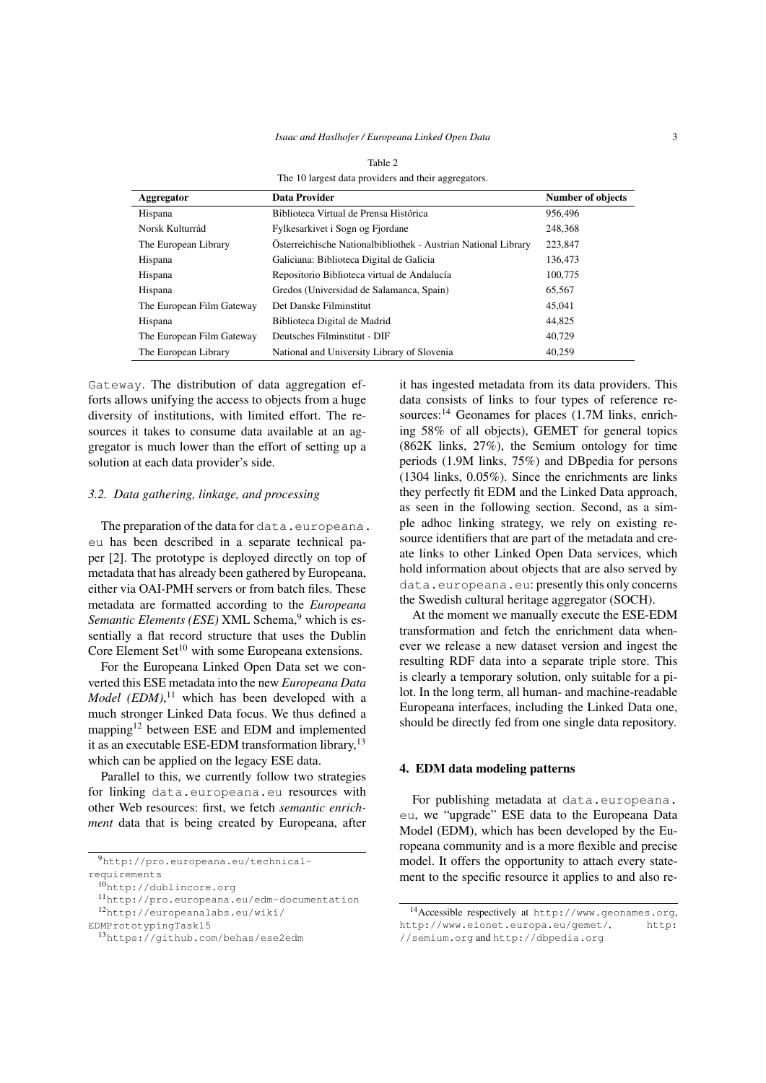| The TO largest data providers and their aggregators. |                                                                |                          |  |
|------------------------------------------------------|----------------------------------------------------------------|--------------------------|--|
| Aggregator                                           | <b>Data Provider</b>                                           | <b>Number of objects</b> |  |
| Hispana                                              | Biblioteca Virtual de Prensa Histórica                         | 956,496                  |  |
| Norsk Kulturråd                                      | Fylkesarkivet i Sogn og Fjordane                               | 248,368                  |  |
| The European Library                                 | Österreichische Nationalbibliothek - Austrian National Library | 223,847                  |  |
| Hispana                                              | Galiciana: Biblioteca Digital de Galicia                       | 136,473                  |  |
| Hispana                                              | Repositorio Biblioteca virtual de Andalucía                    | 100,775                  |  |
| Hispana                                              | Gredos (Universidad de Salamanca, Spain)                       | 65,567                   |  |
| The European Film Gateway                            | Det Danske Filminstitut                                        | 45,041                   |  |
| Hispana                                              | Biblioteca Digital de Madrid                                   | 44,825                   |  |
| The European Film Gateway                            | Deutsches Filminstitut - DIF                                   | 40.729                   |  |
| The European Library                                 | National and University Library of Slovenia                    | 40.259                   |  |

Table 2

The 10 largest data providers and their aggregators.

Gateway. The distribution of data aggregation efforts allows unifying the access to objects from a huge diversity of institutions, with limited effort. The resources it takes to consume data available at an aggregator is much lower than the effort of setting up a solution at each data provider's side.

#### *3.2. Data gathering, linkage, and processing*

The preparation of the data for data.europeana. eu has been described in a separate technical paper [2]. The prototype is deployed directly on top of metadata that has already been gathered by Europeana, either via OAI-PMH servers or from batch files. These metadata are formatted according to the *Europeana Semantic Elements (ESE)* XML Schema,<sup>9</sup> which is essentially a flat record structure that uses the Dublin Core Element Set $10$  with some Europeana extensions.

For the Europeana Linked Open Data set we converted this ESE metadata into the new *Europeana Data Model (EDM)*, <sup>11</sup> which has been developed with a much stronger Linked Data focus. We thus defined a mapping<sup>12</sup> between ESE and EDM and implemented it as an executable ESE-EDM transformation library,<sup>13</sup> which can be applied on the legacy ESE data.

Parallel to this, we currently follow two strategies for linking data.europeana.eu resources with other Web resources: first, we fetch *semantic enrichment* data that is being created by Europeana, after

requirements

<sup>10</sup>http://dublincore.org

EDMPrototypingTask15

it has ingested metadata from its data providers. This data consists of links to four types of reference resources:<sup>14</sup> Geonames for places (1.7M links, enriching 58% of all objects), GEMET for general topics (862K links, 27%), the Semium ontology for time periods (1.9M links, 75%) and DBpedia for persons (1304 links, 0.05%). Since the enrichments are links they perfectly fit EDM and the Linked Data approach, as seen in the following section. Second, as a simple adhoc linking strategy, we rely on existing resource identifiers that are part of the metadata and create links to other Linked Open Data services, which hold information about objects that are also served by data.europeana.eu: presently this only concerns the Swedish cultural heritage aggregator (SOCH).

At the moment we manually execute the ESE-EDM transformation and fetch the enrichment data whenever we release a new dataset version and ingest the resulting RDF data into a separate triple store. This is clearly a temporary solution, only suitable for a pilot. In the long term, all human- and machine-readable Europeana interfaces, including the Linked Data one, should be directly fed from one single data repository.

#### 4. EDM data modeling patterns

For publishing metadata at data.europeana. eu, we "upgrade" ESE data to the Europeana Data Model (EDM), which has been developed by the Europeana community and is a more flexible and precise model. It offers the opportunity to attach every statement to the specific resource it applies to and also re-

<sup>9</sup>http://pro.europeana.eu/technical-

<sup>11</sup>http://pro.europeana.eu/edm-documentation <sup>12</sup>http://europeanalabs.eu/wiki/

<sup>13</sup>https://github.com/behas/ese2edm

<sup>14</sup>Accessible respectively at http://www.geonames.org, http://www.eionet.europa.eu/gemet/, http: //semium.org and http://dbpedia.org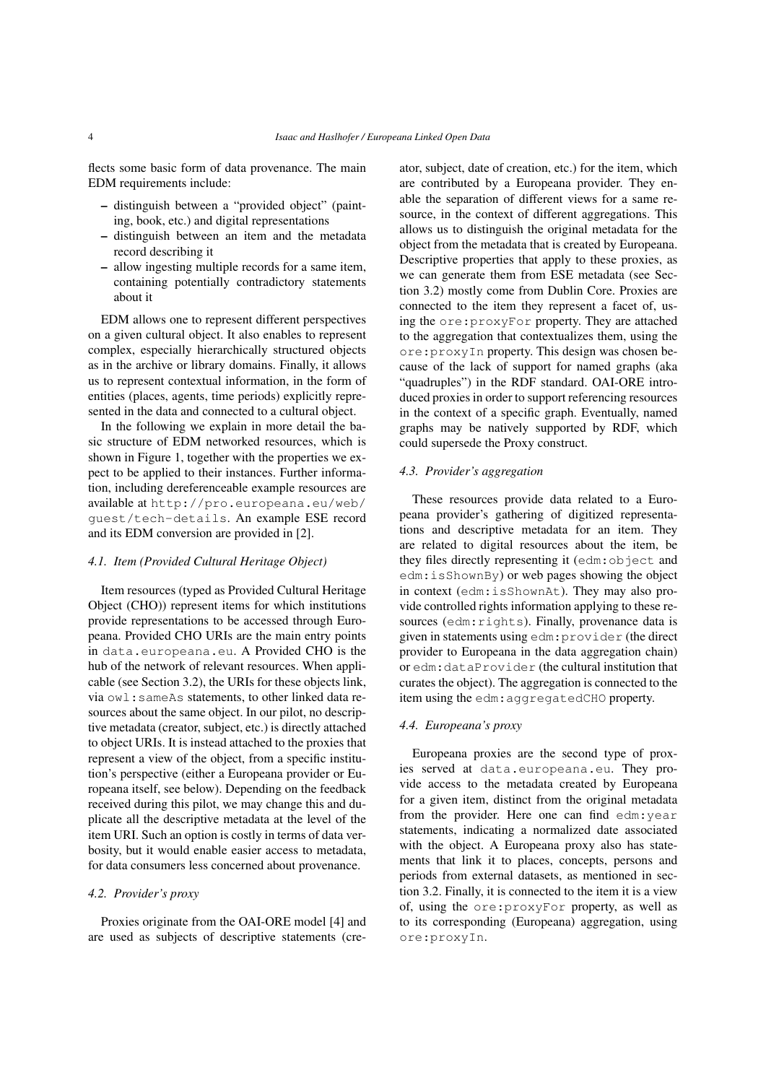flects some basic form of data provenance. The main EDM requirements include:

- distinguish between a "provided object" (painting, book, etc.) and digital representations
- distinguish between an item and the metadata record describing it
- allow ingesting multiple records for a same item, containing potentially contradictory statements about it

EDM allows one to represent different perspectives on a given cultural object. It also enables to represent complex, especially hierarchically structured objects as in the archive or library domains. Finally, it allows us to represent contextual information, in the form of entities (places, agents, time periods) explicitly represented in the data and connected to a cultural object.

In the following we explain in more detail the basic structure of EDM networked resources, which is shown in Figure 1, together with the properties we expect to be applied to their instances. Further information, including dereferenceable example resources are available at http://pro.europeana.eu/web/ guest/tech-details. An example ESE record and its EDM conversion are provided in [2].

#### *4.1. Item (Provided Cultural Heritage Object)*

Item resources (typed as Provided Cultural Heritage Object (CHO)) represent items for which institutions provide representations to be accessed through Europeana. Provided CHO URIs are the main entry points in data.europeana.eu. A Provided CHO is the hub of the network of relevant resources. When applicable (see Section 3.2), the URIs for these objects link, via owl:sameAs statements, to other linked data resources about the same object. In our pilot, no descriptive metadata (creator, subject, etc.) is directly attached to object URIs. It is instead attached to the proxies that represent a view of the object, from a specific institution's perspective (either a Europeana provider or Europeana itself, see below). Depending on the feedback received during this pilot, we may change this and duplicate all the descriptive metadata at the level of the item URI. Such an option is costly in terms of data verbosity, but it would enable easier access to metadata, for data consumers less concerned about provenance.

#### *4.2. Provider's proxy*

Proxies originate from the OAI-ORE model [4] and are used as subjects of descriptive statements (creator, subject, date of creation, etc.) for the item, which are contributed by a Europeana provider. They enable the separation of different views for a same resource, in the context of different aggregations. This allows us to distinguish the original metadata for the object from the metadata that is created by Europeana. Descriptive properties that apply to these proxies, as we can generate them from ESE metadata (see Section 3.2) mostly come from Dublin Core. Proxies are connected to the item they represent a facet of, using the ore:proxyFor property. They are attached to the aggregation that contextualizes them, using the ore:proxyIn property. This design was chosen because of the lack of support for named graphs (aka "quadruples") in the RDF standard. OAI-ORE introduced proxies in order to support referencing resources in the context of a specific graph. Eventually, named graphs may be natively supported by RDF, which could supersede the Proxy construct.

#### *4.3. Provider's aggregation*

These resources provide data related to a Europeana provider's gathering of digitized representations and descriptive metadata for an item. They are related to digital resources about the item, be they files directly representing it (edm:object and edm:isShownBy) or web pages showing the object in context (edm:isShownAt). They may also provide controlled rights information applying to these resources (edm:rights). Finally, provenance data is given in statements using edm:provider (the direct provider to Europeana in the data aggregation chain) or edm:dataProvider (the cultural institution that curates the object). The aggregation is connected to the item using the edm:aggregatedCHO property.

#### *4.4. Europeana's proxy*

Europeana proxies are the second type of proxies served at data.europeana.eu. They provide access to the metadata created by Europeana for a given item, distinct from the original metadata from the provider. Here one can find edm:year statements, indicating a normalized date associated with the object. A Europeana proxy also has statements that link it to places, concepts, persons and periods from external datasets, as mentioned in section 3.2. Finally, it is connected to the item it is a view of, using the ore:proxyFor property, as well as to its corresponding (Europeana) aggregation, using ore:proxyIn.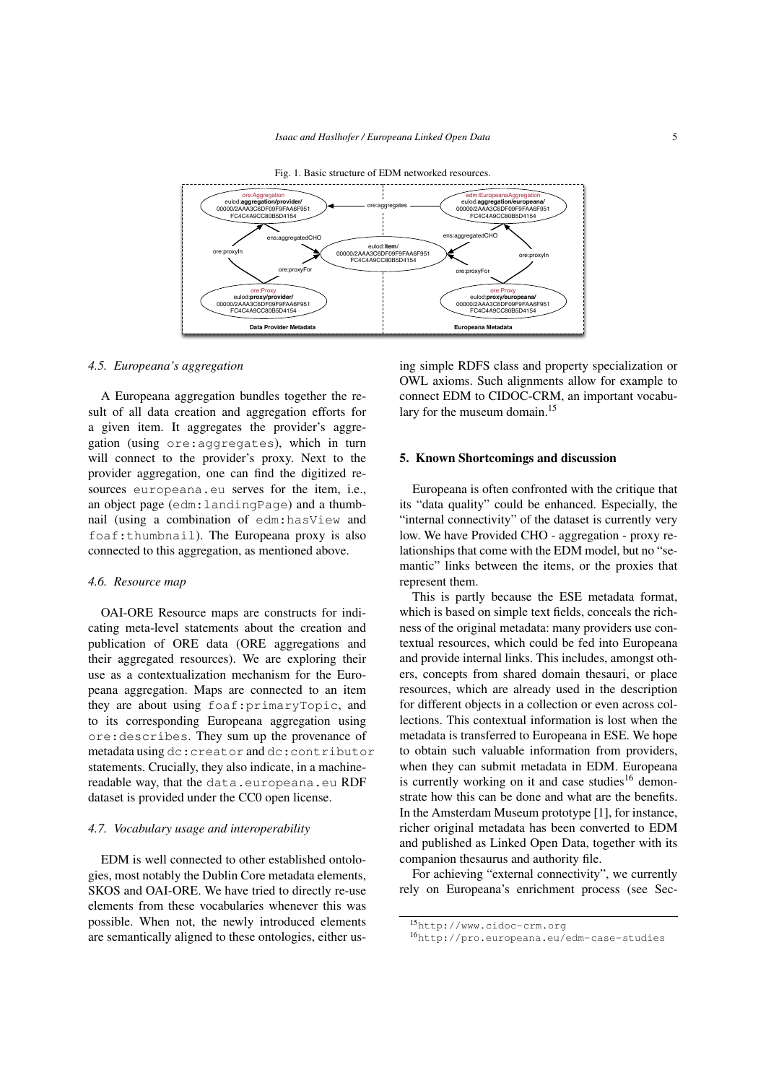

*4.5. Europeana's aggregation*

A Europeana aggregation bundles together the result of all data creation and aggregation efforts for a given item. It aggregates the provider's aggregation (using ore:aggregates), which in turn will connect to the provider's proxy. Next to the provider aggregation, one can find the digitized resources europeana.eu serves for the item, i.e., an object page (edm:landingPage) and a thumbnail (using a combination of edm:hasView and foaf:thumbnail). The Europeana proxy is also connected to this aggregation, as mentioned above.

#### *4.6. Resource map*

OAI-ORE Resource maps are constructs for indicating meta-level statements about the creation and publication of ORE data (ORE aggregations and their aggregated resources). We are exploring their use as a contextualization mechanism for the Europeana aggregation. Maps are connected to an item they are about using foaf:primaryTopic, and to its corresponding Europeana aggregation using ore:describes. They sum up the provenance of metadata using dc:creator and dc:contributor statements. Crucially, they also indicate, in a machinereadable way, that the data.europeana.eu RDF dataset is provided under the CC0 open license.

#### *4.7. Vocabulary usage and interoperability*

EDM is well connected to other established ontologies, most notably the Dublin Core metadata elements, SKOS and OAI-ORE. We have tried to directly re-use elements from these vocabularies whenever this was possible. When not, the newly introduced elements are semantically aligned to these ontologies, either using simple RDFS class and property specialization or OWL axioms. Such alignments allow for example to connect EDM to CIDOC-CRM, an important vocabulary for the museum domain.<sup>15</sup>

#### 5. Known Shortcomings and discussion

Europeana is often confronted with the critique that its "data quality" could be enhanced. Especially, the "internal connectivity" of the dataset is currently very low. We have Provided CHO - aggregation - proxy relationships that come with the EDM model, but no "semantic" links between the items, or the proxies that represent them.

This is partly because the ESE metadata format, which is based on simple text fields, conceals the richness of the original metadata: many providers use contextual resources, which could be fed into Europeana and provide internal links. This includes, amongst others, concepts from shared domain thesauri, or place resources, which are already used in the description for different objects in a collection or even across collections. This contextual information is lost when the metadata is transferred to Europeana in ESE. We hope to obtain such valuable information from providers, when they can submit metadata in EDM. Europeana is currently working on it and case studies<sup>16</sup> demonstrate how this can be done and what are the benefits. In the Amsterdam Museum prototype [1], for instance, richer original metadata has been converted to EDM and published as Linked Open Data, together with its companion thesaurus and authority file.

For achieving "external connectivity", we currently rely on Europeana's enrichment process (see Sec-

<sup>15</sup>http://www.cidoc-crm.org

<sup>16</sup>http://pro.europeana.eu/edm-case-studies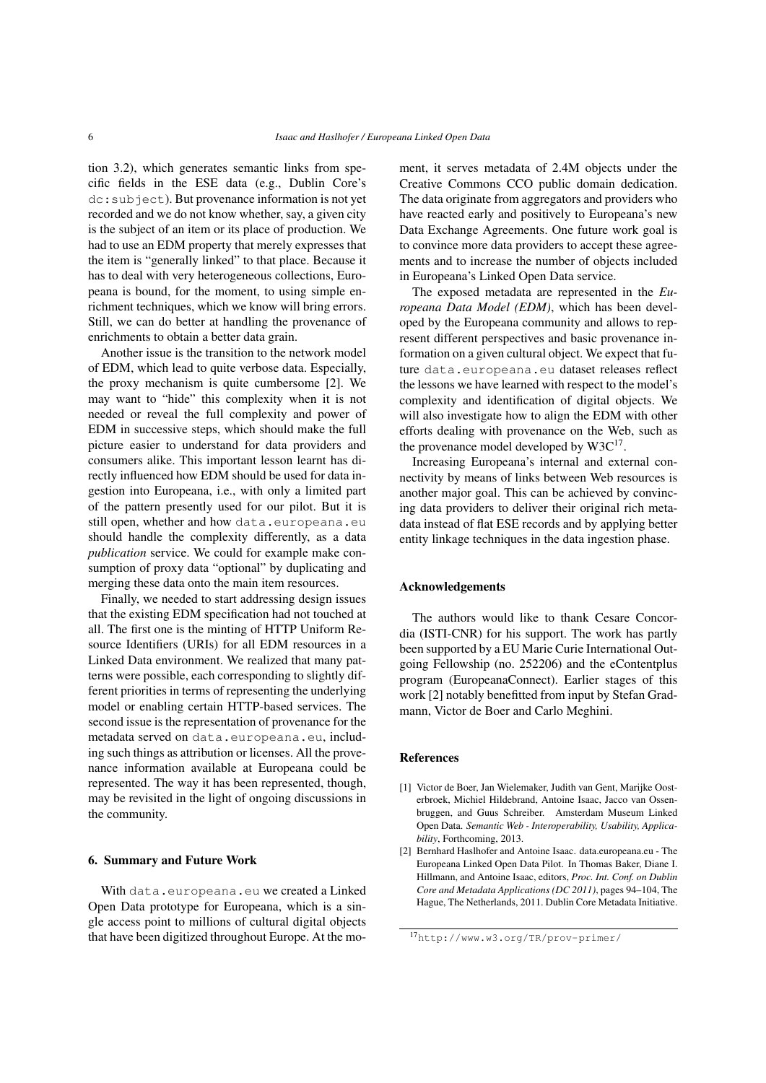tion 3.2), which generates semantic links from specific fields in the ESE data (e.g., Dublin Core's dc:subject). But provenance information is not yet recorded and we do not know whether, say, a given city is the subject of an item or its place of production. We had to use an EDM property that merely expresses that the item is "generally linked" to that place. Because it has to deal with very heterogeneous collections, Europeana is bound, for the moment, to using simple enrichment techniques, which we know will bring errors. Still, we can do better at handling the provenance of enrichments to obtain a better data grain.

Another issue is the transition to the network model of EDM, which lead to quite verbose data. Especially, the proxy mechanism is quite cumbersome [2]. We may want to "hide" this complexity when it is not needed or reveal the full complexity and power of EDM in successive steps, which should make the full picture easier to understand for data providers and consumers alike. This important lesson learnt has directly influenced how EDM should be used for data ingestion into Europeana, i.e., with only a limited part of the pattern presently used for our pilot. But it is still open, whether and how data.europeana.eu should handle the complexity differently, as a data *publication* service. We could for example make consumption of proxy data "optional" by duplicating and merging these data onto the main item resources.

Finally, we needed to start addressing design issues that the existing EDM specification had not touched at all. The first one is the minting of HTTP Uniform Resource Identifiers (URIs) for all EDM resources in a Linked Data environment. We realized that many patterns were possible, each corresponding to slightly different priorities in terms of representing the underlying model or enabling certain HTTP-based services. The second issue is the representation of provenance for the metadata served on data.europeana.eu, including such things as attribution or licenses. All the provenance information available at Europeana could be represented. The way it has been represented, though, may be revisited in the light of ongoing discussions in the community.

#### 6. Summary and Future Work

With data.europeana.eu we created a Linked Open Data prototype for Europeana, which is a single access point to millions of cultural digital objects that have been digitized throughout Europe. At the moment, it serves metadata of 2.4M objects under the Creative Commons CCO public domain dedication. The data originate from aggregators and providers who have reacted early and positively to Europeana's new Data Exchange Agreements. One future work goal is to convince more data providers to accept these agreements and to increase the number of objects included in Europeana's Linked Open Data service.

The exposed metadata are represented in the *Europeana Data Model (EDM)*, which has been developed by the Europeana community and allows to represent different perspectives and basic provenance information on a given cultural object. We expect that future data.europeana.eu dataset releases reflect the lessons we have learned with respect to the model's complexity and identification of digital objects. We will also investigate how to align the EDM with other efforts dealing with provenance on the Web, such as the provenance model developed by  $W3C^{17}$ .

Increasing Europeana's internal and external connectivity by means of links between Web resources is another major goal. This can be achieved by convincing data providers to deliver their original rich metadata instead of flat ESE records and by applying better entity linkage techniques in the data ingestion phase.

### Acknowledgements

The authors would like to thank Cesare Concordia (ISTI-CNR) for his support. The work has partly been supported by a EU Marie Curie International Outgoing Fellowship (no. 252206) and the eContentplus program (EuropeanaConnect). Earlier stages of this work [2] notably benefitted from input by Stefan Gradmann, Victor de Boer and Carlo Meghini.

#### References

- [1] Victor de Boer, Jan Wielemaker, Judith van Gent, Marijke Oosterbroek, Michiel Hildebrand, Antoine Isaac, Jacco van Ossenbruggen, and Guus Schreiber. Amsterdam Museum Linked Open Data. *Semantic Web - Interoperability, Usability, Applicability*, Forthcoming, 2013.
- [2] Bernhard Haslhofer and Antoine Isaac. data.europeana.eu The Europeana Linked Open Data Pilot. In Thomas Baker, Diane I. Hillmann, and Antoine Isaac, editors, *Proc. Int. Conf. on Dublin Core and Metadata Applications (DC 2011)*, pages 94–104, The Hague, The Netherlands, 2011. Dublin Core Metadata Initiative.

<sup>17</sup>http://www.w3.org/TR/prov-primer/